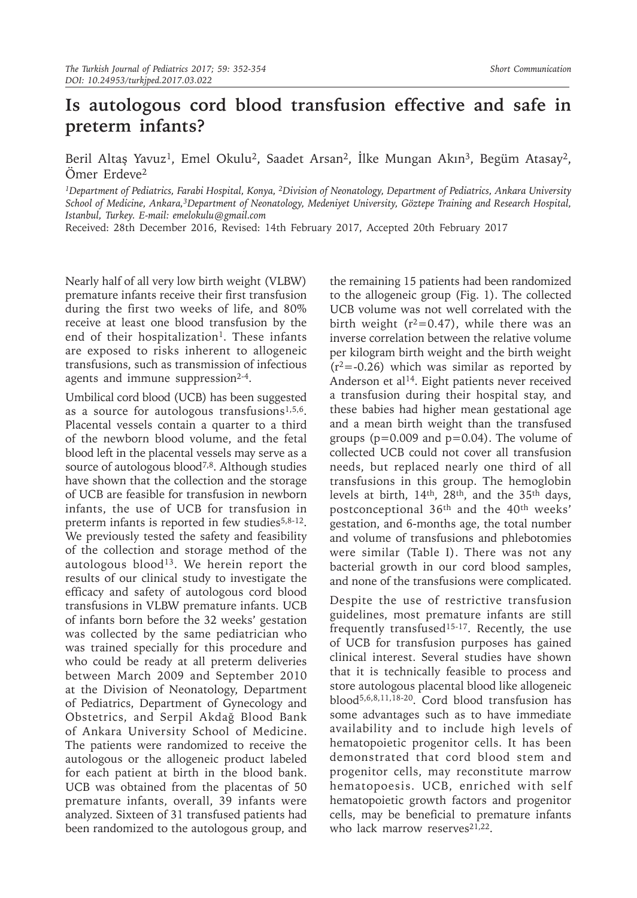## **Is autologous cord blood transfusion effective and safe in preterm infants?**

Beril Altaş Yavuz<sup>1</sup>, Emel Okulu<sup>2</sup>, Saadet Arsan<sup>2</sup>, İlke Mungan Akın<sup>3</sup>, Begüm Atasay<sup>2</sup>, Ömer Erdeve<sup>2</sup>

*1Department of Pediatrics, Farabi Hospital, Konya, 2Division of Neonatology, Department of Pediatrics, Ankara University School of Medicine, Ankara,3Department of Neonatology, Medeniyet University, Göztepe Training and Research Hospital, Istanbul, Turkey. E-mail: emelokulu@gmail.com*

Received: 28th December 2016, Revised: 14th February 2017, Accepted 20th February 2017

Nearly half of all very low birth weight (VLBW) premature infants receive their first transfusion during the first two weeks of life, and 80% receive at least one blood transfusion by the end of their hospitalization<sup>1</sup>. These infants are exposed to risks inherent to allogeneic transfusions, such as transmission of infectious agents and immune suppression<sup>2-4</sup>.

Umbilical cord blood (UCB) has been suggested as a source for autologous transfusions<sup>1,5,6</sup>. Placental vessels contain a quarter to a third of the newborn blood volume, and the fetal blood left in the placental vessels may serve as a source of autologous blood<sup>7,8</sup>. Although studies have shown that the collection and the storage of UCB are feasible for transfusion in newborn infants, the use of UCB for transfusion in preterm infants is reported in few studies<sup>5,8-12</sup>. We previously tested the safety and feasibility of the collection and storage method of the autologous blood<sup>13</sup>. We herein report the results of our clinical study to investigate the efficacy and safety of autologous cord blood transfusions in VLBW premature infants. UCB of infants born before the 32 weeks' gestation was collected by the same pediatrician who was trained specially for this procedure and who could be ready at all preterm deliveries between March 2009 and September 2010 at the Division of Neonatology, Department of Pediatrics, Department of Gynecology and Obstetrics, and Serpil Akdağ Blood Bank of Ankara University School of Medicine. The patients were randomized to receive the autologous or the allogeneic product labeled for each patient at birth in the blood bank. UCB was obtained from the placentas of 50 premature infants, overall, 39 infants were analyzed. Sixteen of 31 transfused patients had been randomized to the autologous group, and

the remaining 15 patients had been randomized to the allogeneic group (Fig. 1). The collected UCB volume was not well correlated with the birth weight ( $r^2$ =0.47), while there was an inverse correlation between the relative volume per kilogram birth weight and the birth weight  $(r^2 = -0.26)$  which was similar as reported by Anderson et al<sup>14</sup>. Eight patients never received a transfusion during their hospital stay, and these babies had higher mean gestational age and a mean birth weight than the transfused groups ( $p=0.009$  and  $p=0.04$ ). The volume of collected UCB could not cover all transfusion needs, but replaced nearly one third of all transfusions in this group. The hemoglobin levels at birth, 14th, 28th, and the 35th days, postconceptional 36th and the 40th weeks' gestation, and 6-months age, the total number and volume of transfusions and phlebotomies were similar (Table I). There was not any bacterial growth in our cord blood samples, and none of the transfusions were complicated.

Despite the use of restrictive transfusion guidelines, most premature infants are still frequently transfused<sup>15-17</sup>. Recently, the use of UCB for transfusion purposes has gained clinical interest. Several studies have shown that it is technically feasible to process and store autologous placental blood like allogeneic blood5,6,8,11,18-20. Cord blood transfusion has some advantages such as to have immediate availability and to include high levels of hematopoietic progenitor cells. It has been demonstrated that cord blood stem and progenitor cells, may reconstitute marrow hematopoesis. UCB, enriched with self hematopoietic growth factors and progenitor cells, may be beneficial to premature infants who lack marrow reserves<sup>21,22</sup>.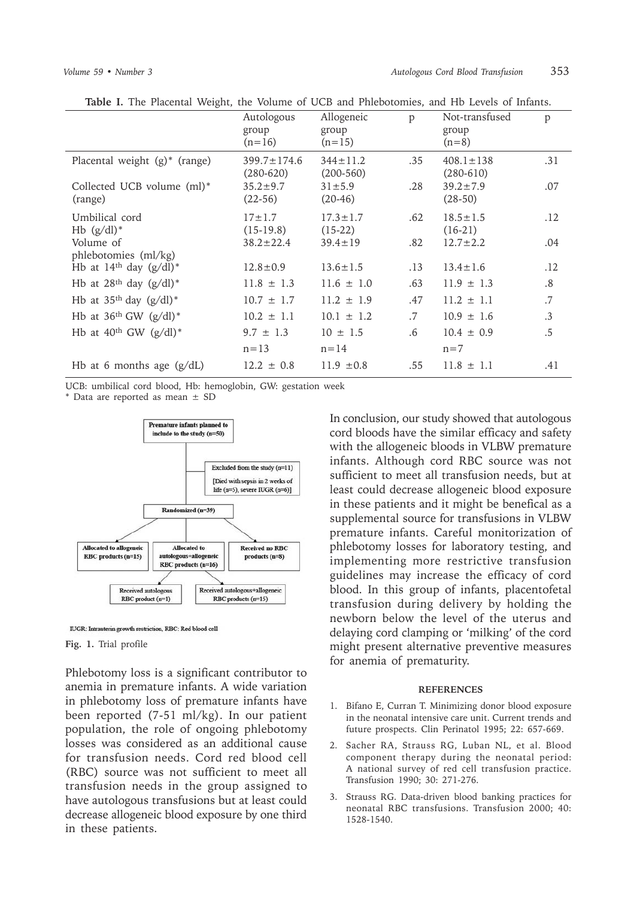| Autologous<br>group<br>$(n=16)$    | Allogeneic<br>group<br>$(n=15)$ | p      | Not-transfused<br>group<br>$(n=8)$ | p               |
|------------------------------------|---------------------------------|--------|------------------------------------|-----------------|
| $399.7 \pm 174.6$<br>$(280 - 620)$ | $344 \pm 11.2$<br>$(200-560)$   | .35    | $408.1 \pm 138$<br>$(280-610)$     | .31             |
| $35.2 \pm 9.7$<br>$(22-56)$        | $31 \pm 5.9$<br>$(20-46)$       | .28    | $39.2 \pm 7.9$<br>$(28-50)$        | .07             |
| $17 \pm 1.7$<br>$(15-19.8)$        | $17.3 \pm 1.7$<br>$(15-22)$     | .62    | $18.5 \pm 1.5$<br>$(16-21)$        | .12             |
| $38.2 \pm 22.4$                    | $39.4 \pm 19$                   | .82    | $12.7 \pm 2.2$                     | .04             |
| $12.8 \pm 0.9$                     | $13.6 \pm 1.5$                  | .13    | $13.4 \pm 1.6$                     | .12             |
| $11.8 \pm 1.3$                     | $11.6 \pm 1.0$                  | .63    | $11.9 \pm 1.3$                     | $.8\,$          |
| $10.7 \pm 1.7$                     | $11.2 \pm 1.9$                  | .47    | $11.2 \pm 1.1$                     | .7              |
| $10.2 \pm 1.1$                     | $10.1 \pm 1.2$                  | $.7\,$ | $10.9 \pm 1.6$                     | $.3\phantom{0}$ |
| $9.7 \pm 1.3$                      | $10 \pm 1.5$                    | $.6\,$ | $10.4 \pm 0.9$                     | $.5\,$          |
| $n = 13$                           | $n = 14$                        |        | $n=7$                              |                 |
| $12.2 \pm 0.8$                     | $11.9 \pm 0.8$                  | .55    | $11.8 \pm 1.1$                     | .41             |
|                                    |                                 |        |                                    |                 |

**Table I.** The Placental Weight, the Volume of UCB and Phlebotomies, and Hb Levels of Infants.

UCB: umbilical cord blood, Hb: hemoglobin, GW: gestation week

\* Data are reported as mean ± SD



IUGR: Intrauterin growth restriction, RBC: Red blood cell

## **Fig. 1.** Trial profile

Phlebotomy loss is a significant contributor to anemia in premature infants. A wide variation in phlebotomy loss of premature infants have been reported (7-51 ml/kg). In our patient population, the role of ongoing phlebotomy losses was considered as an additional cause for transfusion needs. Cord red blood cell (RBC) source was not sufficient to meet all transfusion needs in the group assigned to have autologous transfusions but at least could decrease allogeneic blood exposure by one third in these patients.

In conclusion, our study showed that autologous cord bloods have the similar efficacy and safety with the allogeneic bloods in VLBW premature infants. Although cord RBC source was not sufficient to meet all transfusion needs, but at least could decrease allogeneic blood exposure in these patients and it might be benefical as a supplemental source for transfusions in VLBW premature infants. Careful monitorization of phlebotomy losses for laboratory testing, and implementing more restrictive transfusion guidelines may increase the efficacy of cord blood. In this group of infants, placentofetal transfusion during delivery by holding the newborn below the level of the uterus and delaying cord clamping or 'milking' of the cord might present alternative preventive measures for anemia of prematurity.

## **REFERENCES**

- 1. Bifano E, Curran T. Minimizing donor blood exposure in the neonatal intensive care unit. Current trends and future prospects. Clin Perinatol 1995; 22: 657-669.
- 2. Sacher RA, Strauss RG, Luban NL, et al. Blood component therapy during the neonatal period: A national survey of red cell transfusion practice. Transfusion 1990; 30: 271-276.
- 3. Strauss RG. Data-driven blood banking practices for neonatal RBC transfusions. Transfusion 2000; 40: 1528-1540.